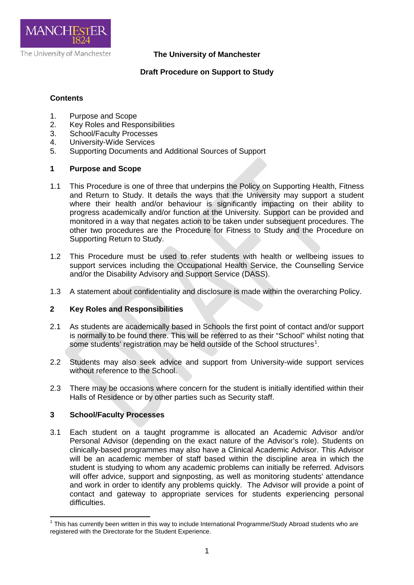

# **The University of Manchester**

# **Draft Procedure on Support to Study**

### **Contents**

- 1. Purpose and Scope
- 2. Key Roles and Responsibilities
- 3. School/Faculty Processes
- 4. University-Wide Services
- 5. Supporting Documents and Additional Sources of Support

# **1 Purpose and Scope**

- 1.1 This Procedure is one of three that underpins the Policy on Supporting Health, Fitness and Return to Study. It details the ways that the University may support a student where their health and/or behaviour is significantly impacting on their ability to progress academically and/or function at the University. Support can be provided and monitored in a way that negates action to be taken under subsequent procedures. The other two procedures are the Procedure for Fitness to Study and the Procedure on Supporting Return to Study.
- 1.2 This Procedure must be used to refer students with health or wellbeing issues to support services including the Occupational Health Service, the Counselling Service and/or the Disability Advisory and Support Service (DASS).
- 1.3 A statement about confidentiality and disclosure is made within the overarching Policy.

#### **2 Key Roles and Responsibilities**

- 2.1 As students are academically based in Schools the first point of contact and/or support is normally to be found there. This will be referred to as their "School" whilst noting that some students' registration may be held outside of the School structures<sup>[1](#page-0-0)</sup>.
- 2.2 Students may also seek advice and support from University-wide support services without reference to the School
- 2.3 There may be occasions where concern for the student is initially identified within their Halls of Residence or by other parties such as Security staff.

## **3 School/Faculty Processes**

3.1 Each student on a taught programme is allocated an Academic Advisor and/or Personal Advisor (depending on the exact nature of the Advisor's role). Students on clinically-based programmes may also have a Clinical Academic Advisor. This Advisor will be an academic member of staff based within the discipline area in which the student is studying to whom any academic problems can initially be referred. Advisors will offer advice, support and signposting, as well as monitoring students' attendance and work in order to identify any problems quickly. The Advisor will provide a point of contact and gateway to appropriate services for students experiencing personal difficulties.

<span id="page-0-0"></span> $1$  This has currently been written in this way to include International Programme/Study Abroad students who are registered with the Directorate for the Student Experience.  $\overline{a}$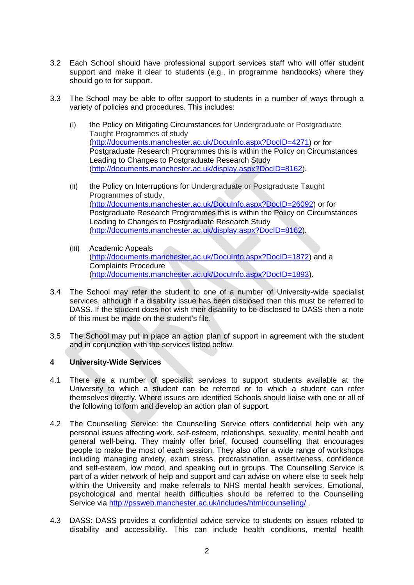- 3.2 Each School should have professional support services staff who will offer student support and make it clear to students (e.g., in programme handbooks) where they should go to for support.
- 3.3 The School may be able to offer support to students in a number of ways through a variety of policies and procedures. This includes:
	- (i) the Policy on Mitigating Circumstances for Undergraduate or Postgraduate Taught Programmes of study [\(http://documents.manchester.ac.uk/DocuInfo.aspx?DocID=4271\)](http://documents.manchester.ac.uk/DocuInfo.aspx?DocID=4271) or for Postgraduate Research Programmes this is within the Policy on Circumstances Leading to Changes to Postgraduate Research Study [\(http://documents.manchester.ac.uk/display.aspx?DocID=8162\)](http://documents.manchester.ac.uk/display.aspx?DocID=8162).
	- (ii) the Policy on Interruptions for Undergraduate or Postgraduate Taught Programmes of study, [\(http://documents.manchester.ac.uk/DocuInfo.aspx?DocID=26092\)](http://documents.manchester.ac.uk/DocuInfo.aspx?DocID=26092) or for Postgraduate Research Programmes this is within the Policy on Circumstances Leading to Changes to Postgraduate Research Study [\(http://documents.manchester.ac.uk/display.aspx?DocID=8162\)](http://documents.manchester.ac.uk/display.aspx?DocID=8162).
	- (iii) Academic Appeals [\(http://documents.manchester.ac.uk/DocuInfo.aspx?DocID=1872\)](http://documents.manchester.ac.uk/DocuInfo.aspx?DocID=1872) and a Complaints Procedure [\(http://documents.manchester.ac.uk/DocuInfo.aspx?DocID=1893\)](http://documents.manchester.ac.uk/DocuInfo.aspx?DocID=1893).
- 3.4 The School may refer the student to one of a number of University-wide specialist services, although if a disability issue has been disclosed then this must be referred to DASS. If the student does not wish their disability to be disclosed to DASS then a note of this must be made on the student's file.
- 3.5 The School may put in place an action plan of support in agreement with the student and in conjunction with the services listed below.

#### **4 University-Wide Services**

- 4.1 There are a number of specialist services to support students available at the University to which a student can be referred or to which a student can refer themselves directly. Where issues are identified Schools should liaise with one or all of the following to form and develop an action plan of support.
- 4.2 The Counselling Service: the Counselling Service offers confidential help with any personal issues affecting work, self-esteem, relationships, sexuality, mental health and general well-being. They mainly offer brief, focused counselling that encourages people to make the most of each session. They also offer a wide range of workshops including managing anxiety, exam stress, procrastination, assertiveness, confidence and self-esteem, low mood, and speaking out in groups. The Counselling Service is part of a wider network of help and support and can advise on where else to seek help within the University and make referrals to NHS mental health services. Emotional, psychological and mental health difficulties should be referred to the Counselling Service via <http://pssweb.manchester.ac.uk/includes/html/counselling/> .
- 4.3 DASS: DASS provides a confidential advice service to students on issues related to disability and accessibility. This can include health conditions, mental health